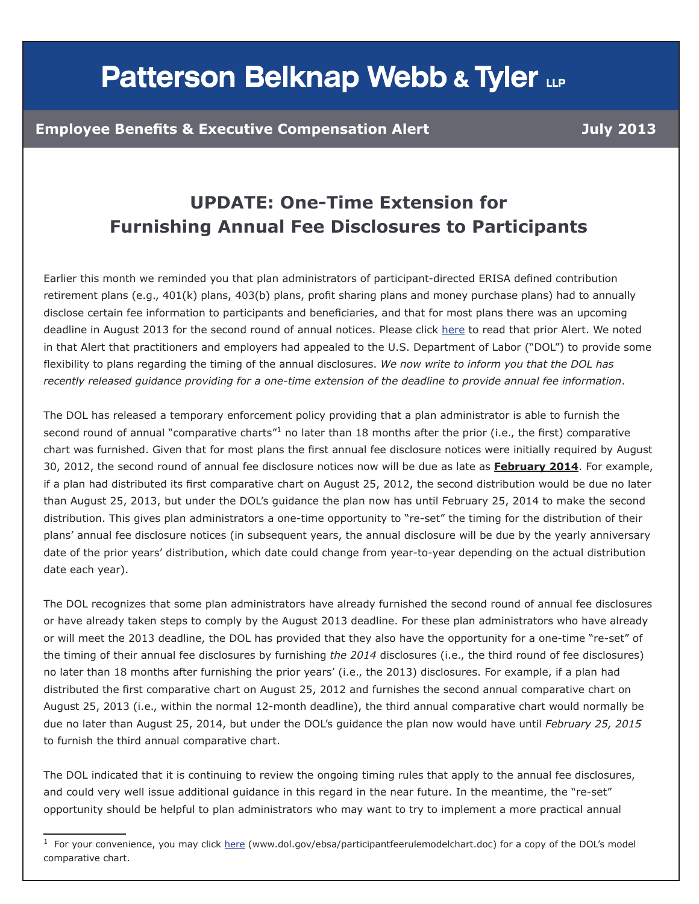## **Patterson Belknap Webb & Tyler LLP**

## **UPDATE: One-Time Extension for Furnishing Annual Fee Disclosures to Participants**

Earlier this month we reminded you that plan administrators of participant-directed ERISA defined contribution retirement plans (e.g., 401(k) plans, 403(b) plans, profit sharing plans and money purchase plans) had to annually disclose certain fee information to participants and beneficiaries, and that for most plans there was an upcoming deadline in August 2013 for the second round of annual notices. Please click [here](http://pbwtinfo.com/collect/click.aspx%3Fu%3D/G1GTPto3VUOLNr7VYI%2BfZ0jmW0kgIMc4IyTskSVoDoSG6uiUFbwX0skh%2B%2B3n63tZJcnaebUftIvMutx4i8gDRLANVo77u0FQ/cp6/bNjXA%3D%26rh%3Dff001155c29cef35ff1f8801d54d99f955e04e4b) to read that prior Alert. We noted in that Alert that practitioners and employers had appealed to the U.S. Department of Labor ("DOL") to provide some flexibility to plans regarding the timing of the annual disclosures. *We now write to inform you that the DOL has recently released guidance providing for a one-time extension of the deadline to provide annual fee information*.

The DOL has released a temporary enforcement policy providing that a plan administrator is able to furnish the second round of annual "comparative charts"<sup>1</sup> no later than 18 months after the prior (i.e., the first) comparative chart was furnished. Given that for most plans the first annual fee disclosure notices were initially required by August 30, 2012, the second round of annual fee disclosure notices now will be due as late as **February 2014**. For example, if a plan had distributed its first comparative chart on August 25, 2012, the second distribution would be due no later than August 25, 2013, but under the DOL's guidance the plan now has until February 25, 2014 to make the second distribution. This gives plan administrators a one-time opportunity to "re-set" the timing for the distribution of their plans' annual fee disclosure notices (in subsequent years, the annual disclosure will be due by the yearly anniversary date of the prior years' distribution, which date could change from year-to-year depending on the actual distribution date each year).

The DOL recognizes that some plan administrators have already furnished the second round of annual fee disclosures or have already taken steps to comply by the August 2013 deadline. For these plan administrators who have already or will meet the 2013 deadline, the DOL has provided that they also have the opportunity for a one-time "re-set" of the timing of their annual fee disclosures by furnishing *the 2014* disclosures (i.e., the third round of fee disclosures) no later than 18 months after furnishing the prior years' (i.e., the 2013) disclosures. For example, if a plan had distributed the first comparative chart on August 25, 2012 and furnishes the second annual comparative chart on August 25, 2013 (i.e., within the normal 12-month deadline), the third annual comparative chart would normally be due no later than August 25, 2014, but under the DOL's guidance the plan now would have until *February 25, 2015* to furnish the third annual comparative chart.

The DOL indicated that it is continuing to review the ongoing timing rules that apply to the annual fee disclosures, and could very well issue additional guidance in this regard in the near future. In the meantime, the "re-set" opportunity should be helpful to plan administrators who may want to try to implement a more practical annual

 $1$  For your convenience, you may click [here](www.dol.gov/ebsa/participantfeerulemodelchart.doc) (www.dol.gov/ebsa/participantfeerulemodelchart.doc) for a copy of the DOL's model comparative chart.